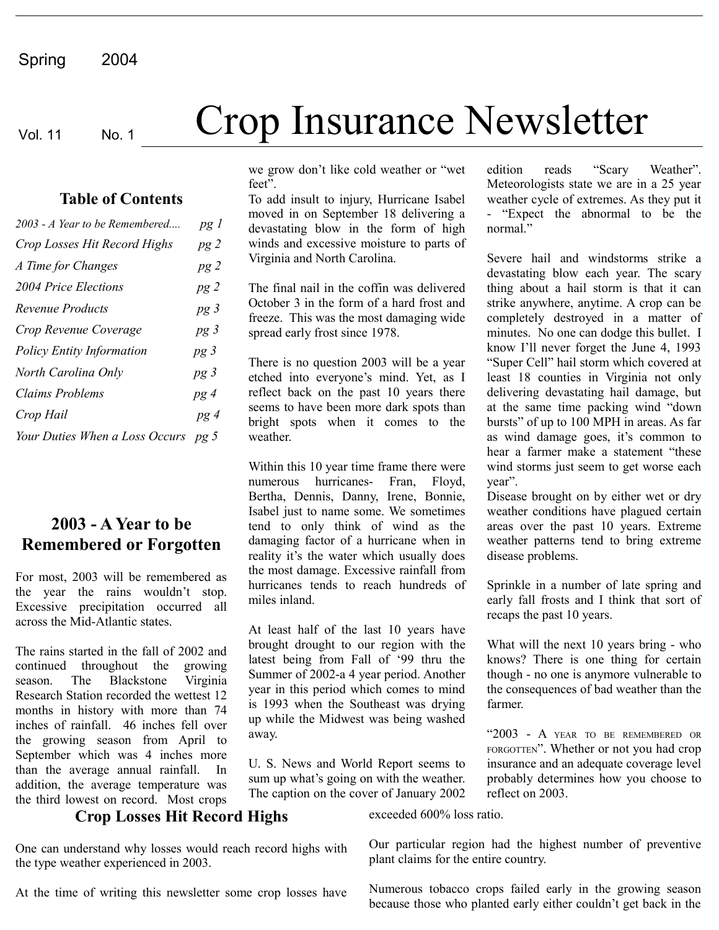#### **Table of Contents**

| 2003 - A Year to be Remembered   | pg 1            |
|----------------------------------|-----------------|
| Crop Losses Hit Record Highs     | pg2             |
| A Time for Changes               | pg2             |
| 2004 Price Elections             | pg2             |
| Revenue Products                 | pg <sub>3</sub> |
| Crop Revenue Coverage            | pg3             |
| <b>Policy Entity Information</b> | pg <sub>3</sub> |
| North Carolina Only              | pg3             |
| <b>Claims Problems</b>           | pg4             |
| Crop Hail                        | pg4             |
| Your Duties When a Loss Occurs   | $pg\,5$         |

# **2003 - A Year to be Remembered or Forgotten**

For most, 2003 will be remembered as the year the rains wouldn't stop. Excessive precipitation occurred all across the Mid-Atlantic states.

The rains started in the fall of 2002 and continued throughout the growing season. The Blackstone Virginia Research Station recorded the wettest 12 months in history with more than 74 inches of rainfall. 46 inches fell over the growing season from April to September which was 4 inches more than the average annual rainfall. In addition, the average temperature was the third lowest on record. Most crops

# Vol. 11 No. 1 **Crop Insurance Newsletter**

we grow don't like cold weather or "wet feet".

To add insult to injury, Hurricane Isabel moved in on September 18 delivering a devastating blow in the form of high winds and excessive moisture to parts of Virginia and North Carolina.

The final nail in the coffin was delivered October 3 in the form of a hard frost and freeze. This was the most damaging wide spread early frost since 1978.

There is no question 2003 will be a year etched into everyone's mind. Yet, as I reflect back on the past 10 years there seems to have been more dark spots than bright spots when it comes to the weather.

Within this 10 year time frame there were numerous hurricanes- Fran, Floyd, Bertha, Dennis, Danny, Irene, Bonnie, Isabel just to name some. We sometimes tend to only think of wind as the damaging factor of a hurricane when in reality it's the water which usually does the most damage. Excessive rainfall from hurricanes tends to reach hundreds of miles inland.

At least half of the last 10 years have brought drought to our region with the latest being from Fall of '99 thru the Summer of 2002-a 4 year period. Another year in this period which comes to mind is 1993 when the Southeast was drying up while the Midwest was being washed away.

U. S. News and World Report seems to sum up what's going on with the weather. The caption on the cover of January 2002 edition reads "Scary Weather". Meteorologists state we are in a 25 year weather cycle of extremes. As they put it - "Expect the abnormal to be the normal."

Severe hail and windstorms strike a devastating blow each year. The scary thing about a hail storm is that it can strike anywhere, anytime. A crop can be completely destroyed in a matter of minutes. No one can dodge this bullet. I know I'll never forget the June 4, 1993 "Super Cell" hail storm which covered at least 18 counties in Virginia not only delivering devastating hail damage, but at the same time packing wind "down bursts" of up to 100 MPH in areas. As far as wind damage goes, it's common to hear a farmer make a statement "these wind storms just seem to get worse each year".

Disease brought on by either wet or dry weather conditions have plagued certain areas over the past 10 years. Extreme weather patterns tend to bring extreme disease problems.

Sprinkle in a number of late spring and early fall frosts and I think that sort of recaps the past 10 years.

What will the next 10 years bring - who knows? There is one thing for certain though - no one is anymore vulnerable to the consequences of bad weather than the farmer.

"2003 - A YEAR TO BE REMEMBERED OR FORGOTTEN". Whether or not you had crop insurance and an adequate coverage level probably determines how you choose to reflect on 2003.

### **Crop Losses Hit Record Highs**

One can understand why losses would reach record highs with the type weather experienced in 2003.

At the time of writing this newsletter some crop losses have

exceeded 600% loss ratio.

Our particular region had the highest number of preventive plant claims for the entire country.

Numerous tobacco crops failed early in the growing season because those who planted early either couldn't get back in the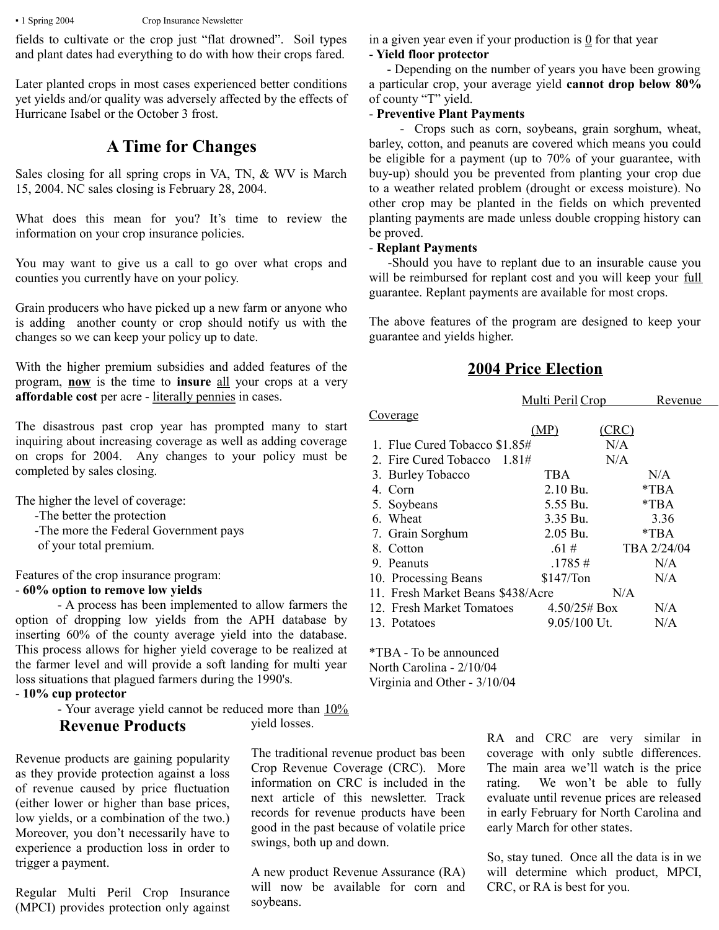fields to cultivate or the crop just "flat drowned". Soil types and plant dates had everything to do with how their crops fared.

Later planted crops in most cases experienced better conditions yet yields and/or quality was adversely affected by the effects of Hurricane Isabel or the October 3 frost.

# **A Time for Changes**

Sales closing for all spring crops in VA, TN, & WV is March 15, 2004. NC sales closing is February 28, 2004.

What does this mean for you? It's time to review the information on your crop insurance policies.

You may want to give us a call to go over what crops and counties you currently have on your policy.

Grain producers who have picked up a new farm or anyone who is adding another county or crop should notify us with the changes so we can keep your policy up to date.

With the higher premium subsidies and added features of the program, **now** is the time to **insure** all your crops at a very **affordable cost** per acre - literally pennies in cases.

The disastrous past crop year has prompted many to start inquiring about increasing coverage as well as adding coverage on crops for 2004. Any changes to your policy must be completed by sales closing.

The higher the level of coverage:

- -The better the protection
- -The more the Federal Government pays
- of your total premium.

Features of the crop insurance program:

#### - **60% option to remove low yields**

- A process has been implemented to allow farmers the option of dropping low yields from the APH database by inserting 60% of the county average yield into the database. This process allows for higher yield coverage to be realized at the farmer level and will provide a soft landing for multi year loss situations that plagued farmers during the 1990's.

- **10% cup protector**

- Your average yield cannot be reduced more than  $10\%$ yield losses.

# **Revenue Products**

Revenue products are gaining popularity as they provide protection against a loss of revenue caused by price fluctuation (either lower or higher than base prices, low yields, or a combination of the two.) Moreover, you don't necessarily have to experience a production loss in order to trigger a payment.

Regular Multi Peril Crop Insurance (MPCI) provides protection only against The traditional revenue product bas been Crop Revenue Coverage (CRC). More information on CRC is included in the next article of this newsletter. Track records for revenue products have been good in the past because of volatile price swings, both up and down.

A new product Revenue Assurance (RA) will now be available for corn and soybeans.

in a given year even if your production is  $\Omega$  for that year - **Yield floor protector**

 - Depending on the number of years you have been growing a particular crop, your average yield **cannot drop below 80%** of county "T" yield.

#### - **Preventive Plant Payments**

 - Crops such as corn, soybeans, grain sorghum, wheat, barley, cotton, and peanuts are covered which means you could be eligible for a payment (up to 70% of your guarantee, with buy-up) should you be prevented from planting your crop due to a weather related problem (drought or excess moisture). No other crop may be planted in the fields on which prevented planting payments are made unless double cropping history can be proved.

#### - **Replant Payments**

 -Should you have to replant due to an insurable cause you will be reimbursed for replant cost and you will keep your full guarantee. Replant payments are available for most crops.

The above features of the program are designed to keep your guarantee and yields higher.

# **2004 Price Election**

|                                   | Multi Peril Crop    | Revenue     |  |  |
|-----------------------------------|---------------------|-------------|--|--|
| Coverage                          |                     |             |  |  |
|                                   | (MP)<br><u>CRC)</u> |             |  |  |
| 1. Flue Cured Tobacco \$1.85#     | N/A                 |             |  |  |
| 2. Fire Cured Tobacco 1.81#       | N/A                 |             |  |  |
| 3. Burley Tobacco                 | <b>TBA</b>          | N/A         |  |  |
| 4. Corn                           | $2.10$ Bu.          | $*TRA$      |  |  |
| 5. Soybeans                       | 5.55 Bu.            | $*TBA$      |  |  |
| 6. Wheat                          | 3.35 Bu.            | 3.36        |  |  |
| 7. Grain Sorghum                  | 2.05 Bu.            | $*TBA$      |  |  |
| 8. Cotton                         | .61#                | TBA 2/24/04 |  |  |
| 9. Peanuts                        | .1785#              | N/A         |  |  |
| 10. Processing Beans              | \$147/Ton           | N/A         |  |  |
| 11. Fresh Market Beans \$438/Acre |                     | N/A         |  |  |
| 12. Fresh Market Tomatoes         | 4.50/25# Box        | N/A         |  |  |
| 13. Potatoes                      | $9.05/100$ Ut.      | N/A         |  |  |
|                                   |                     |             |  |  |

\*TBA - To be announced North Carolina - 2/10/04 Virginia and Other - 3/10/04

> RA and CRC are very similar in coverage with only subtle differences. The main area we'll watch is the price rating. We won't be able to fully evaluate until revenue prices are released in early February for North Carolina and early March for other states.

> So, stay tuned. Once all the data is in we will determine which product, MPCI, CRC, or RA is best for you.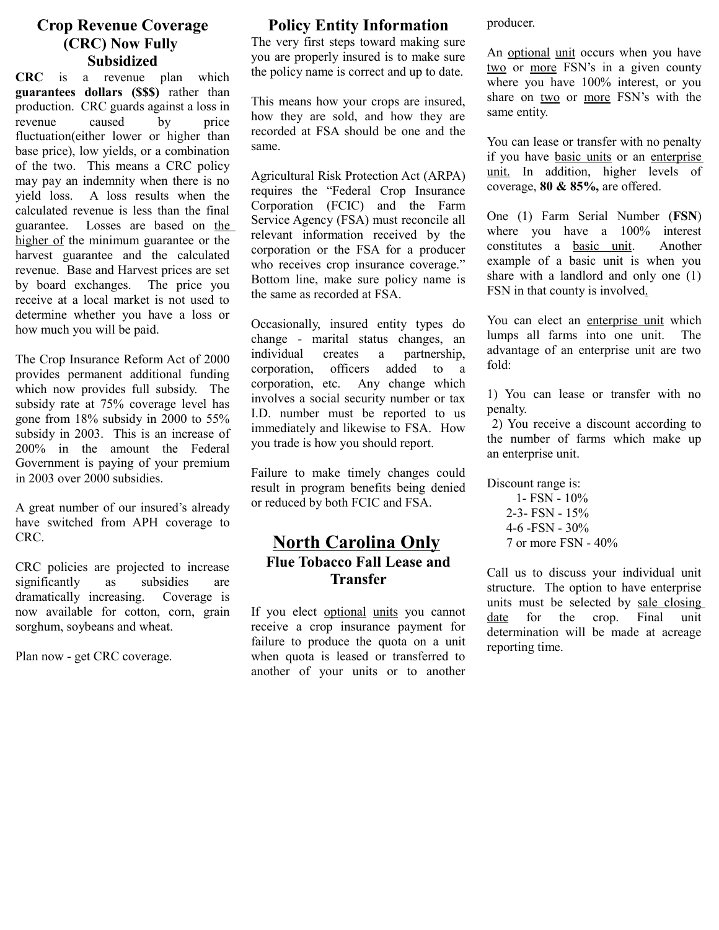# **Crop Revenue Coverage (CRC) Now Fully Subsidized**

**CRC** is a revenue plan which **guarantees dollars (\$\$\$)** rather than production. CRC guards against a loss in revenue caused by price fluctuation(either lower or higher than base price), low yields, or a combination of the two. This means a CRC policy may pay an indemnity when there is no yield loss. A loss results when the calculated revenue is less than the final guarantee. Losses are based on the higher of the minimum guarantee or the harvest guarantee and the calculated revenue. Base and Harvest prices are set by board exchanges. The price you receive at a local market is not used to determine whether you have a loss or how much you will be paid.

The Crop Insurance Reform Act of 2000 provides permanent additional funding which now provides full subsidy. The subsidy rate at 75% coverage level has gone from 18% subsidy in 2000 to 55% subsidy in 2003. This is an increase of 200% in the amount the Federal Government is paying of your premium in 2003 over 2000 subsidies.

A great number of our insured's already have switched from APH coverage to CRC.

CRC policies are projected to increase significantly as subsidies are dramatically increasing. Coverage is now available for cotton, corn, grain sorghum, soybeans and wheat.

Plan now - get CRC coverage.

#### **Policy Entity Information**

The very first steps toward making sure you are properly insured is to make sure the policy name is correct and up to date.

This means how your crops are insured, how they are sold, and how they are recorded at FSA should be one and the same.

Agricultural Risk Protection Act (ARPA) requires the "Federal Crop Insurance Corporation (FCIC) and the Farm Service Agency (FSA) must reconcile all relevant information received by the corporation or the FSA for a producer who receives crop insurance coverage." Bottom line, make sure policy name is the same as recorded at FSA.

Occasionally, insured entity types do change - marital status changes, an individual creates a partnership, corporation, officers added to a corporation, etc. Any change which involves a social security number or tax I.D. number must be reported to us immediately and likewise to FSA. How you trade is how you should report.

Failure to make timely changes could result in program benefits being denied or reduced by both FCIC and FSA.

# **North Carolina Only Flue Tobacco Fall Lease and Transfer**

If you elect optional units you cannot receive a crop insurance payment for failure to produce the quota on a unit when quota is leased or transferred to another of your units or to another producer.

An optional unit occurs when you have two or more FSN's in a given county where you have 100% interest, or you share on two or more FSN's with the same entity.

You can lease or transfer with no penalty if you have basic units or an enterprise unit. In addition, higher levels of coverage, **80 & 85%,** are offered.

One (1) Farm Serial Number (**FSN**) where you have a 100% interest constitutes a basic unit. Another example of a basic unit is when you share with a landlord and only one (1) FSN in that county is involved.

You can elect an enterprise unit which lumps all farms into one unit. The advantage of an enterprise unit are two fold:

1) You can lease or transfer with no penalty.

 2) You receive a discount according to the number of farms which make up an enterprise unit.

Discount range is:

 1- FSN - 10% 2-3- FSN - 15% 4-6 -FSN - 30% 7 or more FSN - 40%

Call us to discuss your individual unit structure. The option to have enterprise units must be selected by sale closing date for the crop. Final unit determination will be made at acreage reporting time.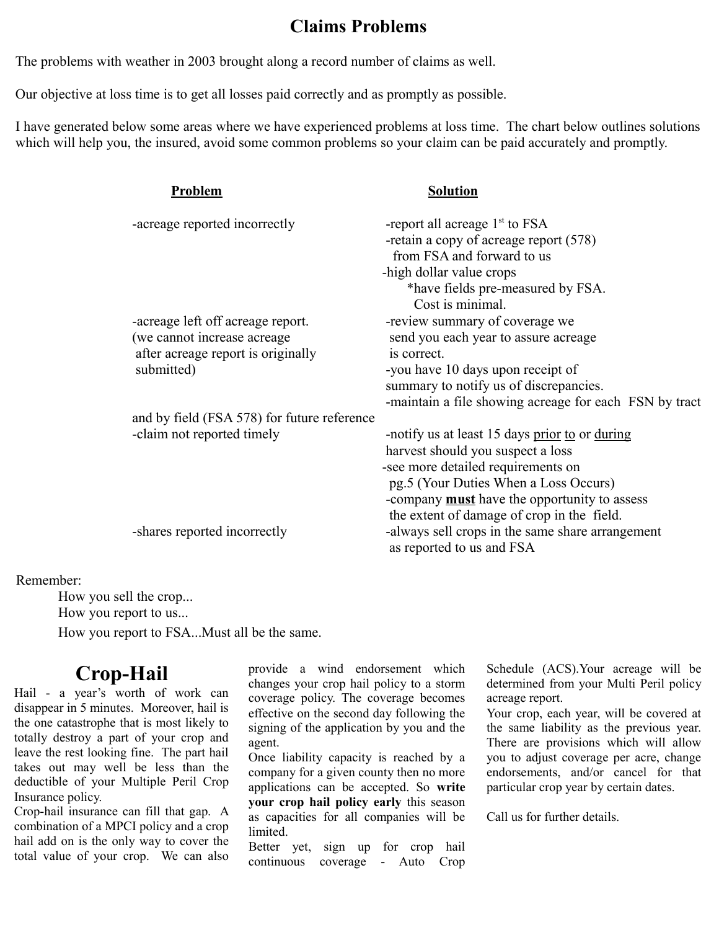# **Claims Problems**

The problems with weather in 2003 brought along a record number of claims as well.

Our objective at loss time is to get all losses paid correctly and as promptly as possible.

I have generated below some areas where we have experienced problems at loss time. The chart below outlines solutions which will help you, the insured, avoid some common problems so your claim can be paid accurately and promptly.

|  | Problem                                             | <b>Solution</b>                                        |
|--|-----------------------------------------------------|--------------------------------------------------------|
|  | -acreage reported incorrectly                       | -report all acreage $1st$ to FSA                       |
|  |                                                     | -retain a copy of acreage report (578)                 |
|  |                                                     | from FSA and forward to us                             |
|  |                                                     | -high dollar value crops                               |
|  |                                                     | *have fields pre-measured by FSA.                      |
|  |                                                     | Cost is minimal.                                       |
|  | -acreage left off acreage report.                   | -review summary of coverage we                         |
|  | (we cannot increase acreage                         | send you each year to assure acreage                   |
|  | after acreage report is originally                  | is correct.                                            |
|  | submitted)                                          | -you have 10 days upon receipt of                      |
|  |                                                     | summary to notify us of discrepancies.                 |
|  |                                                     | -maintain a file showing acreage for each FSN by tract |
|  | and by field (FSA 578) for future reference         |                                                        |
|  | -claim not reported timely                          | -notify us at least 15 days prior to or during         |
|  |                                                     | harvest should you suspect a loss                      |
|  |                                                     | -see more detailed requirements on                     |
|  | pg.5 (Your Duties When a Loss Occurs)               |                                                        |
|  | -company <b>must</b> have the opportunity to assess |                                                        |
|  |                                                     | the extent of damage of crop in the field.             |
|  | -shares reported incorrectly                        | -always sell crops in the same share arrangement       |
|  |                                                     | as reported to us and FSA                              |
|  |                                                     |                                                        |

#### Remember:

How you sell the crop... How you report to us... How you report to FSA...Must all be the same.

# **Crop-Hail**

Hail - a year's worth of work can disappear in 5 minutes. Moreover, hail is the one catastrophe that is most likely to totally destroy a part of your crop and leave the rest looking fine. The part hail takes out may well be less than the deductible of your Multiple Peril Crop Insurance policy.

Crop-hail insurance can fill that gap. A combination of a MPCI policy and a crop hail add on is the only way to cover the total value of your crop. We can also

provide a wind endorsement which changes your crop hail policy to a storm coverage policy. The coverage becomes effective on the second day following the signing of the application by you and the agent.

Once liability capacity is reached by a company for a given county then no more applications can be accepted. So **write your crop hail policy early** this season as capacities for all companies will be limited.

Better yet, sign up for crop hail continuous coverage - Auto Crop Schedule (ACS).Your acreage will be determined from your Multi Peril policy acreage report.

Your crop, each year, will be covered at the same liability as the previous year. There are provisions which will allow you to adjust coverage per acre, change endorsements, and/or cancel for that particular crop year by certain dates.

Call us for further details.